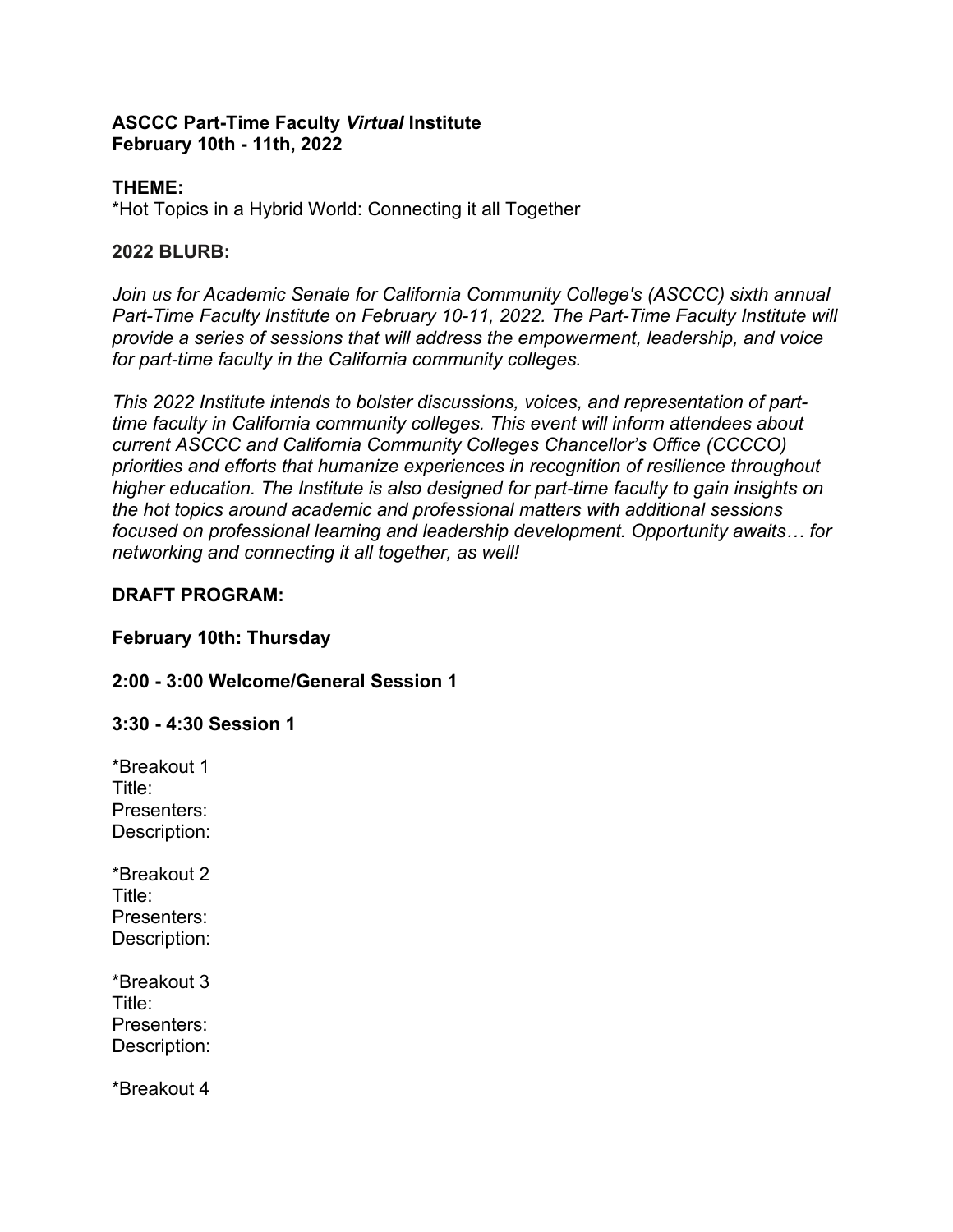#### **ASCCC Part-Time Faculty** *Virtual* **Institute February 10th - 11th, 2022**

## **THEME:**

\*Hot Topics in a Hybrid World: Connecting it all Together

## **2022 BLURB:**

*Join us for Academic Senate for California Community College's (ASCCC) sixth annual Part-Time Faculty Institute on February 10-11, 2022. The Part-Time Faculty Institute will provide a series of sessions that will address the empowerment, leadership, and voice for part-time faculty in the California community colleges.*

*This 2022 Institute intends to bolster discussions, voices, and representation of parttime faculty in California community colleges. This event will inform attendees about current ASCCC and California Community Colleges Chancellor's Office (CCCCO) priorities and efforts that humanize experiences in recognition of resilience throughout higher education. The Institute is also designed for part-time faculty to gain insights on the hot topics around academic and professional matters with additional sessions focused on professional learning and leadership development. Opportunity awaits… for networking and connecting it all together, as well!*

# **DRAFT PROGRAM:**

## **February 10th: Thursday**

# **2:00 - 3:00 Welcome/General Session 1**

## **3:30 - 4:30 Session 1**

\*Breakout 1 Title: Presenters: Description:

\*Breakout 2 Title: Presenters: Description:

\*Breakout 3 Title: Presenters: Description:

\*Breakout 4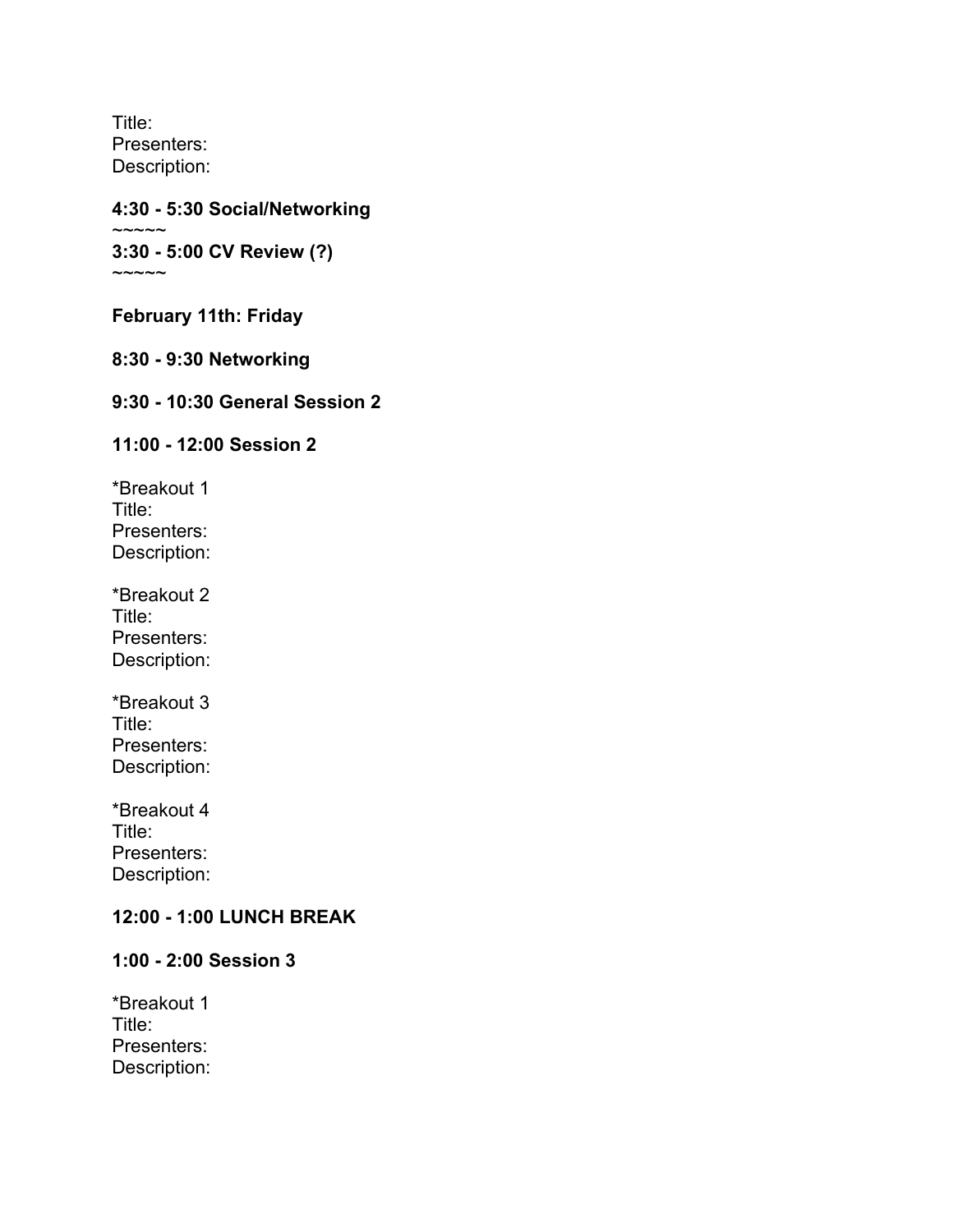Title: Presenters: Description:

#### **4:30 - 5:30 Social/Networking**  $\sim\sim\sim\sim\sim$ **3:30 - 5:00 CV Review (?)**  $\sim\sim\sim\sim\sim$

**February 11th: Friday**

## **8:30 - 9:30 Networking**

#### **9:30 - 10:30 General Session 2**

#### **11:00 - 12:00 Session 2**

\*Breakout 1 Title: Presenters: Description:

\*Breakout 2 Title: Presenters: Description:

\*Breakout 3 Title: Presenters: Description:

\*Breakout 4 Title: Presenters: Description:

#### **12:00 - 1:00 LUNCH BREAK**

#### **1:00 - 2:00 Session 3**

\*Breakout 1 Title: Presenters: Description: